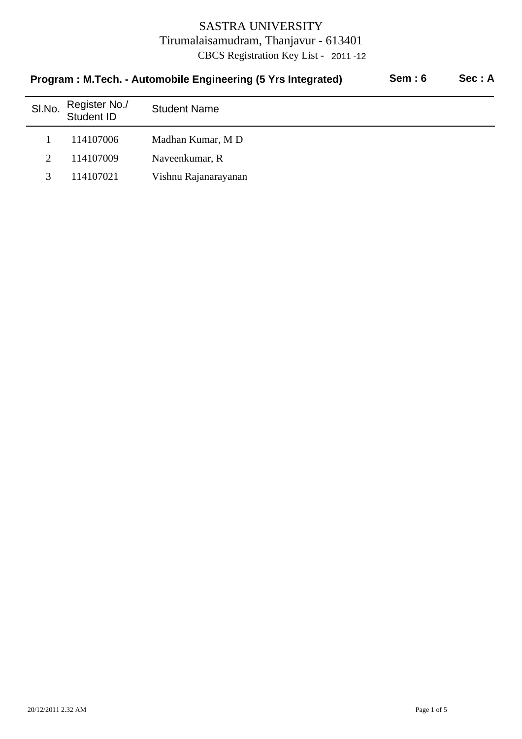| Program: M.Tech. - Automobile Engineering (5 Yrs Integrated) |                      |  | Sec: A |
|--------------------------------------------------------------|----------------------|--|--------|
| Register No./<br>Student ID                                  | <b>Student Name</b>  |  |        |
| 114107006                                                    | Madhan Kumar, MD     |  |        |
| 114107009                                                    | Naveenkumar, R       |  |        |
| 114107021                                                    | Vishnu Rajanarayanan |  |        |
|                                                              |                      |  | Sem:6  |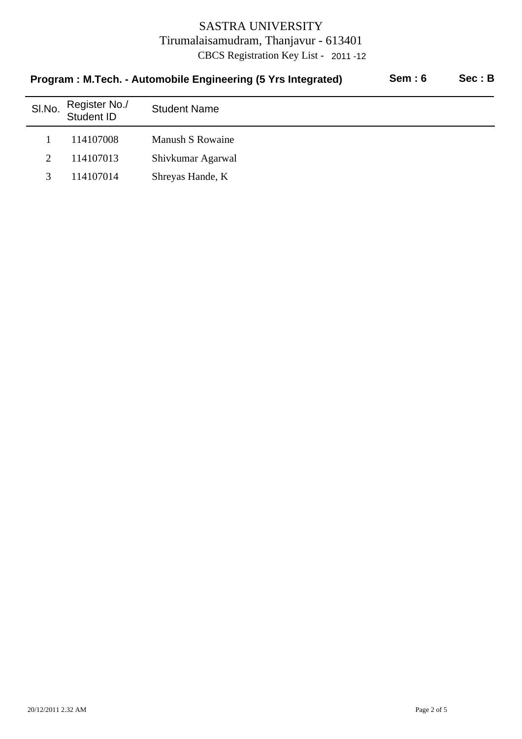| Program: M.Tech. - Automobile Engineering (5 Yrs Integrated) |                             |                     | <b>Sem: 6</b> | Sec: B |
|--------------------------------------------------------------|-----------------------------|---------------------|---------------|--------|
| SI.No.                                                       | Register No./<br>Student ID | <b>Student Name</b> |               |        |
|                                                              | 114107008                   | Manush S Rowaine    |               |        |
| $\mathfrak{2}$                                               | 114107013                   | Shivkumar Agarwal   |               |        |
|                                                              | 114107014                   | Shreyas Hande, K    |               |        |
|                                                              |                             |                     |               |        |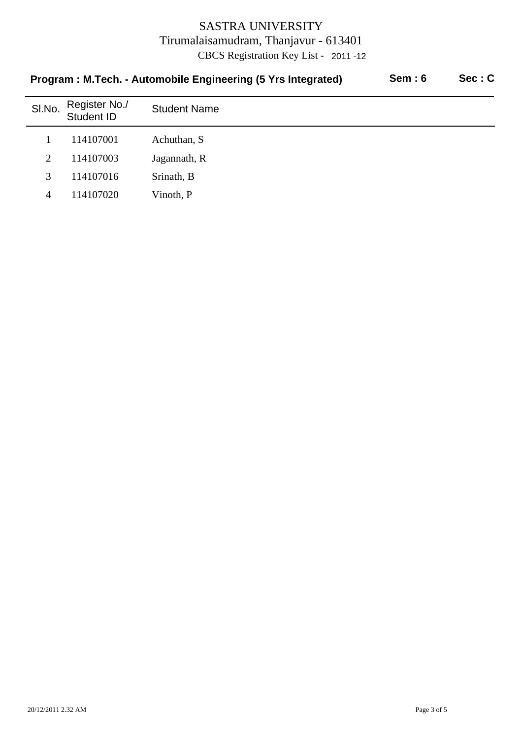| Program: M.Tech. - Automobile Engineering (5 Yrs Integrated) |                             |                     | Sem: 6 | Sec: C |
|--------------------------------------------------------------|-----------------------------|---------------------|--------|--------|
| SI.No.                                                       | Register No./<br>Student ID | <b>Student Name</b> |        |        |
|                                                              | 114107001                   | Achuthan, S         |        |        |
| 2                                                            | 114107003                   | Jagannath, R        |        |        |
| 3                                                            | 114107016                   | Srinath, B          |        |        |
| 4                                                            | 114107020                   | Vinoth, P           |        |        |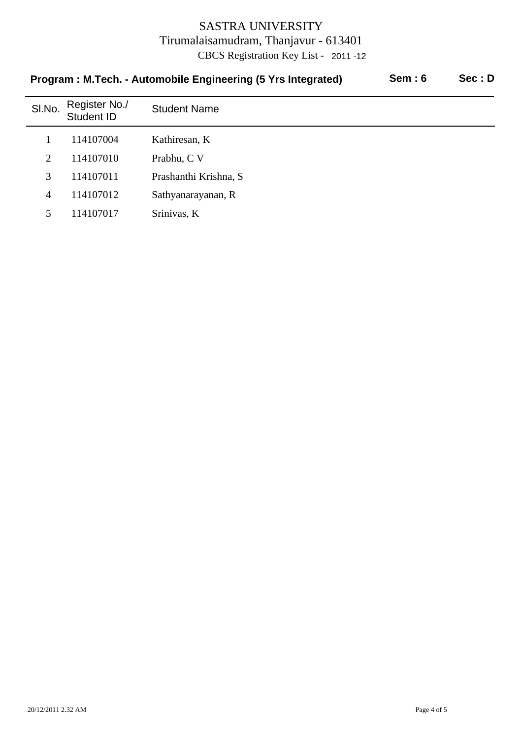| Program: M.Tech. - Automobile Engineering (5 Yrs Integrated) |                             |                       | Sem:6 | Sec: D |
|--------------------------------------------------------------|-----------------------------|-----------------------|-------|--------|
| SI.No.                                                       | Register No./<br>Student ID | <b>Student Name</b>   |       |        |
|                                                              | 114107004                   | Kathiresan, K         |       |        |
| $\mathfrak{2}$                                               | 114107010                   | Prabhu, C V           |       |        |
| 3                                                            | 114107011                   | Prashanthi Krishna, S |       |        |
| 4                                                            | 114107012                   | Sathyanarayanan, R    |       |        |
| 5                                                            | 114107017                   | Srinivas, K           |       |        |